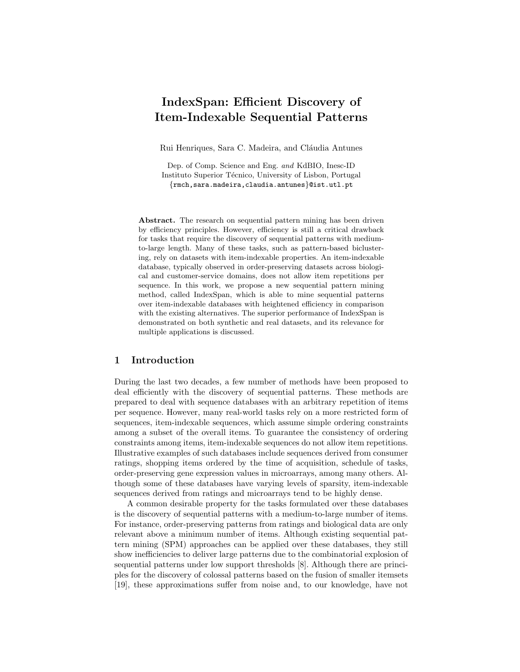# IndexSpan: Efficient Discovery of Item-Indexable Sequential Patterns

Rui Henriques, Sara C. Madeira, and Cláudia Antunes

Dep. of Comp. Science and Eng. and KdBIO, Inesc-ID Instituto Superior Técnico, University of Lisbon, Portugal {rmch,sara.madeira,claudia.antunes}@ist.utl.pt

Abstract. The research on sequential pattern mining has been driven by efficiency principles. However, efficiency is still a critical drawback for tasks that require the discovery of sequential patterns with mediumto-large length. Many of these tasks, such as pattern-based biclustering, rely on datasets with item-indexable properties. An item-indexable database, typically observed in order-preserving datasets across biological and customer-service domains, does not allow item repetitions per sequence. In this work, we propose a new sequential pattern mining method, called IndexSpan, which is able to mine sequential patterns over item-indexable databases with heightened efficiency in comparison with the existing alternatives. The superior performance of IndexSpan is demonstrated on both synthetic and real datasets, and its relevance for multiple applications is discussed.

### 1 Introduction

During the last two decades, a few number of methods have been proposed to deal efficiently with the discovery of sequential patterns. These methods are prepared to deal with sequence databases with an arbitrary repetition of items per sequence. However, many real-world tasks rely on a more restricted form of sequences, item-indexable sequences, which assume simple ordering constraints among a subset of the overall items. To guarantee the consistency of ordering constraints among items, item-indexable sequences do not allow item repetitions. Illustrative examples of such databases include sequences derived from consumer ratings, shopping items ordered by the time of acquisition, schedule of tasks, order-preserving gene expression values in microarrays, among many others. Although some of these databases have varying levels of sparsity, item-indexable sequences derived from ratings and microarrays tend to be highly dense.

A common desirable property for the tasks formulated over these databases is the discovery of sequential patterns with a medium-to-large number of items. For instance, order-preserving patterns from ratings and biological data are only relevant above a minimum number of items. Although existing sequential pattern mining (SPM) approaches can be applied over these databases, they still show inefficiencies to deliver large patterns due to the combinatorial explosion of sequential patterns under low support thresholds [8]. Although there are principles for the discovery of colossal patterns based on the fusion of smaller itemsets [19], these approximations suffer from noise and, to our knowledge, have not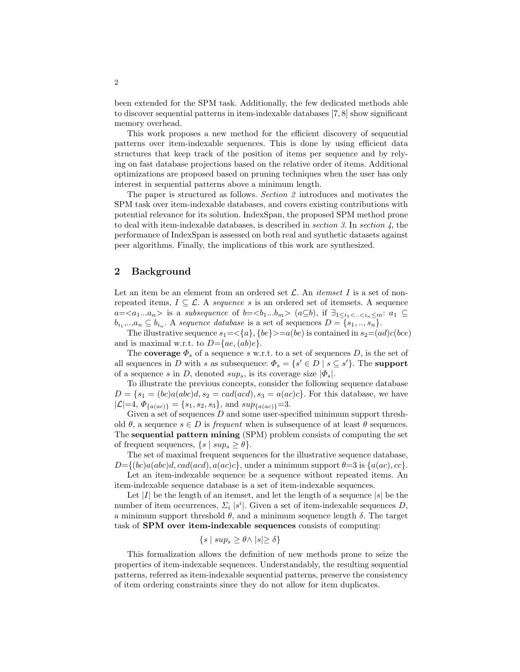been extended for the SPM task. Additionally, the few dedicated methods able to discover sequential patterns in item-indexable databases [7, 8] show significant memory overhead.

This work proposes a new method for the efficient discovery of sequential patterns over item-indexable sequences. This is done by using efficient data structures that keep track of the position of items per sequence and by relying on fast database projections based on the relative order of items. Additional optimizations are proposed based on pruning techniques when the user has only interest in sequential patterns above a minimum length.

The paper is structured as follows. Section 2 introduces and motivates the SPM task over item-indexable databases, and covers existing contributions with potential relevance for its solution. IndexSpan, the proposed SPM method prone to deal with item-indexable databases, is described in section 3. In section 4, the performance of IndexSpan is assessed on both real and synthetic datasets against peer algorithms. Finally, the implications of this work are synthesized.

### 2 Background

Let an item be an element from an ordered set  $\mathcal{L}$ . An *itemset I* is a set of nonrepeated items,  $I \subseteq \mathcal{L}$ . A sequence s is an ordered set of itemsets. A sequence a= $\langle a_1...a_n\rangle$  is a subsequence of b= $\langle b_1...b_m\rangle$   $(a\subseteq b)$ , if  $\exists_{1\leq i_1\leq \ldots\leq i_n\leq m}$ :  $a_1 \subseteq$  $b_{i_1},...,a_n \subseteq b_{i_n}$ . A sequence database is a set of sequences  $D = \{s_1, ..., s_n\}$ .

The illustrative sequence  $s_1 = \langle \{a\}, \{be\} \rangle = a(bc)$  is contained in  $s_2 = (ad)c(bcc)$ and is maximal w.r.t. to  $D = \{ae, (ab)e\}.$ 

The coverage  $\Phi_s$  of a sequence s w.r.t. to a set of sequences D, is the set of all sequences in D with s as subsequence:  $\Phi_s = \{s' \in D \mid s \subseteq s'\}$ . The support of a sequence s in D, denoted  $sup_s$ , is its coverage size  $|\Phi_s|$ .

To illustrate the previous concepts, consider the following sequence database  $D = \{s_1 = (bc)a(abc)d, s_2 = cad(acd), s_3 = a(ac)c\}$ . For this database, we have  $|\mathcal{L}|=4, \Phi_{\{a(ac)\}} = \{s_1, s_2, s_3\}, \text{ and } sup_{\{a(ac)\}}=3.$ 

Given a set of sequences  $D$  and some user-specified minimum support threshold  $\theta$ , a sequence  $s \in D$  is *frequent* when is subsequence of at least  $\theta$  sequences. The sequential pattern mining (SPM) problem consists of computing the set of frequent sequences,  $\{s \mid \sup_s \geq \theta\}.$ 

The set of maximal frequent sequences for the illustrative sequence database,  $D=\{(bc)a(abc)d, cad(acd), a(ac)c\}$ , under a minimum support  $\theta=3$  is  $\{a(ac), cc\}$ .

Let an item-indexable sequence be a sequence without repeated items. An item-indexable sequence database is a set of item-indexable sequences.

Let |I| be the length of an itemset, and let the length of a sequence  $|s|$  be the number of item occurrences,  $\Sigma_i$  |s<sup>i</sup>|. Given a set of item-indexable sequences D, a minimum support threshold  $θ$ , and a minimum sequence length  $δ$ . The target task of SPM over item-indexable sequences consists of computing:

$$
\{s \mid sup_s \ge \theta \land |s| \ge \delta\}
$$

This formalization allows the definition of new methods prone to seize the properties of item-indexable sequences. Understandably, the resulting sequential patterns, referred as item-indexable sequential patterns, preserve the consistency of item ordering constraints since they do not allow for item duplicates.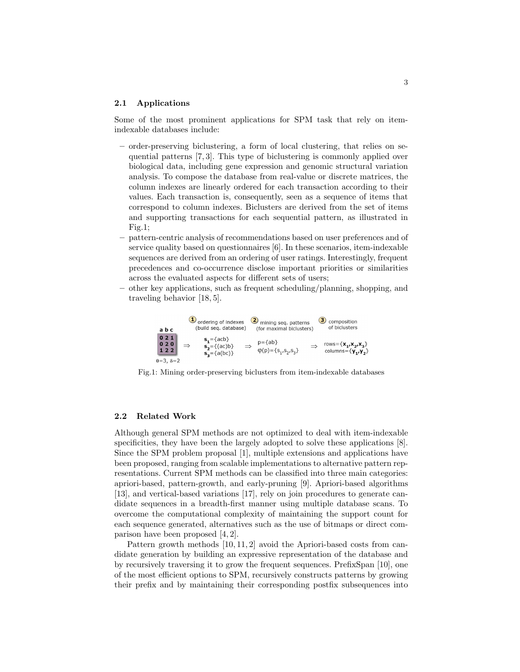#### 2.1 Applications

Some of the most prominent applications for SPM task that rely on itemindexable databases include:

- order-preserving biclustering, a form of local clustering, that relies on sequential patterns [7, 3]. This type of biclustering is commonly applied over biological data, including gene expression and genomic structural variation analysis. To compose the database from real-value or discrete matrices, the column indexes are linearly ordered for each transaction according to their values. Each transaction is, consequently, seen as a sequence of items that correspond to column indexes. Biclusters are derived from the set of items and supporting transactions for each sequential pattern, as illustrated in Fig.1;
- pattern-centric analysis of recommendations based on user preferences and of service quality based on questionnaires [6]. In these scenarios, item-indexable sequences are derived from an ordering of user ratings. Interestingly, frequent precedences and co-occurrence disclose important priorities or similarities across the evaluated aspects for different sets of users;
- other key applications, such as frequent scheduling/planning, shopping, and traveling behavior [18, 5].



Fig.1: Mining order-preserving biclusters from item-indexable databases

#### 2.2 Related Work

Although general SPM methods are not optimized to deal with item-indexable specificities, they have been the largely adopted to solve these applications [8]. Since the SPM problem proposal [1], multiple extensions and applications have been proposed, ranging from scalable implementations to alternative pattern representations. Current SPM methods can be classified into three main categories: apriori-based, pattern-growth, and early-pruning [9]. Apriori-based algorithms [13], and vertical-based variations [17], rely on join procedures to generate candidate sequences in a breadth-first manner using multiple database scans. To overcome the computational complexity of maintaining the support count for each sequence generated, alternatives such as the use of bitmaps or direct comparison have been proposed [4, 2].

Pattern growth methods [10, 11, 2] avoid the Apriori-based costs from candidate generation by building an expressive representation of the database and by recursively traversing it to grow the frequent sequences. PrefixSpan [10], one of the most efficient options to SPM, recursively constructs patterns by growing their prefix and by maintaining their corresponding postfix subsequences into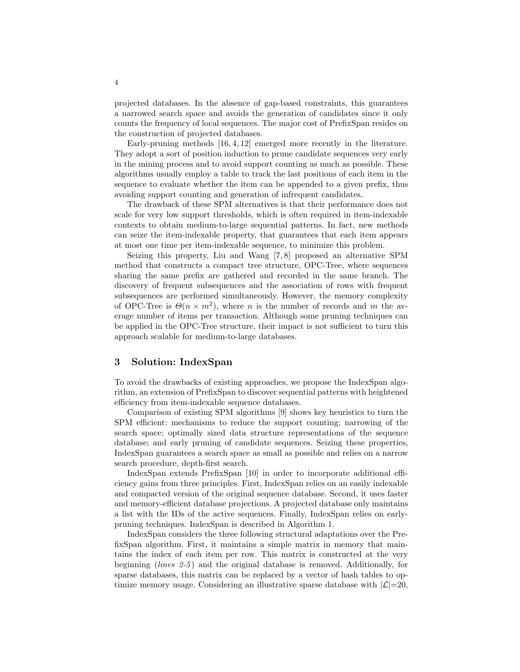projected databases. In the absence of gap-based constraints, this guarantees a narrowed search space and avoids the generation of candidates since it only counts the frequency of local sequences. The major cost of PrefixSpan resides on the construction of projected databases.

Early-pruning methods [16, 4, 12] emerged more recently in the literature. They adopt a sort of position induction to prune candidate sequences very early in the mining process and to avoid support counting as much as possible. These algorithms usually employ a table to track the last positions of each item in the sequence to evaluate whether the item can be appended to a given prefix, thus avoiding support counting and generation of infrequent candidates.

The drawback of these SPM alternatives is that their performance does not scale for very low support thresholds, which is often required in item-indexable contexts to obtain medium-to-large sequential patterns. In fact, new methods can seize the item-indexable property, that guarantees that each item appears at most one time per item-indexable sequence, to minimize this problem.

Seizing this property, Liu and Wang [7, 8] proposed an alternative SPM method that constructs a compact tree structure, OPC-Tree, where sequences sharing the same prefix are gathered and recorded in the same branch. The discovery of frequent subsequences and the association of rows with frequent subsequences are performed simultaneously. However, the memory complexity of OPC-Tree is  $\Theta(n \times m^2)$ , where *n* is the number of records and *m* the average number of items per transaction. Although some pruning techniques can be applied in the OPC-Tree structure, their impact is not sufficient to turn this approach scalable for medium-to-large databases.

## 3 Solution: IndexSpan

To avoid the drawbacks of existing approaches, we propose the IndexSpan algorithm, an extension of PrefixSpan to discover sequential patterns with heightened efficiency from item-indexable sequence databases.

Comparison of existing SPM algorithms [9] shows key heuristics to turn the SPM efficient: mechanisms to reduce the support counting; narrowing of the search space; optimally sized data structure representations of the sequence database; and early pruning of candidate sequences. Seizing these properties, IndexSpan guarantees a search space as small as possible and relies on a narrow search procedure, depth-first search.

IndexSpan extends PrefixSpan [10] in order to incorporate additional efficiency gains from three principles. First, IndexSpan relies on an easily indexable and compacted version of the original sequence database. Second, it uses faster and memory-efficient database projections. A projected database only maintains a list with the IDs of the active sequences. Finally, IndexSpan relies on earlypruning techniques. IndexSpan is described in Algorithm 1.

IndexSpan considers the three following structural adaptations over the PrefixSpan algorithm. First, it maintains a simple matrix in memory that maintains the index of each item per row. This matrix is constructed at the very beginning (*lines* 2-5) and the original database is removed. Additionally, for sparse databases, this matrix can be replaced by a vector of hash tables to optimize memory usage. Considering an illustrative sparse database with  $|\mathcal{L}|=20$ ,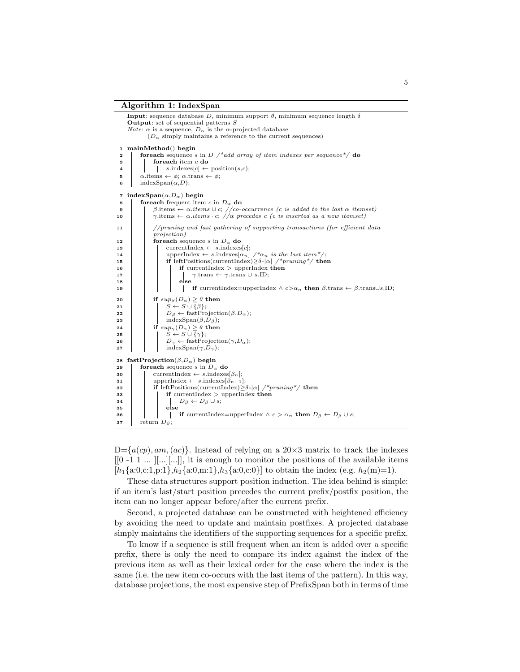#### Algorithm 1: IndexSpan

**Input**: sequence database D, minimum support  $\theta$ , minimum sequence length  $\delta$ Output: set of sequential patterns S *Note:*  $\alpha$  is a sequence,  $D_{\alpha}$  is the  $\alpha$ -projected database  $(D_{\alpha}$  simply maintains a reference to the current sequences) 1 mainMethod() begin 2 | foreach sequence s in  $D$  /\*add array of item indexes per sequence\*/ do  $\overline{3}$  | foreach item c do 4 | |  $s.\text{indexes}[c] \leftarrow \text{position}(s,c);$ 5  $\alpha$ .items  $\leftarrow \phi$ ;  $\alpha$ .trans  $\leftarrow \phi$ ; 6 | indexSpan $(\alpha, D)$ ; 7 indexSpan $(\alpha, D_{\alpha})$  begin 8 for each frequent item c in  $D_{\alpha}$  do 9 β.items ← α.items ∪ c; //co-occurrence (c is added to the last α itemset)<br>10 γ.items ← α.items · c; //α precedes c (c is inserted as a new itemset) 11 //pruning and fast gathering of supporting transactions (for efficient data projection) 12 **for each** sequence s in  $D_{\alpha}$  do 13 | currentIndex ← s.indexes[c]; 14 upperIndex  $\leftarrow s$ .indexes[ $\alpha_n$ ] /\* $\alpha_n$  is the last item\*/; 15 **if** leftPositions(currentIndex) $\geq \delta$ -|α| /\*pruning\*/ then 16 | | | if currentIndex  $>$  upperIndex then 17 | | | |  $\gamma$ .trans ←  $\gamma$ .trans ∪ s.ID;  $18$  | | | | else 19 if currentIndex=upperIndex  $\land c > \alpha_n$  then  $\beta$ .trans ←  $\beta$ .trans $\cup s$ .ID; 20 if  $sup_{\beta}(D_{\alpha}) \geq \theta$  then<br>  $S \leftarrow S \cup \{\beta\}.$  $S \leftarrow S \cup {\{\beta\}};$ 22 D<sub>β</sub> ← fastProjection( $\beta, D_{\alpha}$ );<br>23 indexSpan( $\beta, D_{\beta}$ ); indexSpan $(\beta, D_\beta);$ 24 if  $sup_{\gamma}(D_{\alpha}) \geq \theta$  then<br>25 if  $sup_{S \leftarrow S \cup \{\gamma\}}$  $\overleftrightarrow{S} \cup \overline{\{\gamma\}}$ ; 26  $D_{\gamma} \leftarrow \text{fastProjection}(\gamma, D_{\alpha});$ <br>27 indexSpan( $\gamma, D_{\gamma}$ ); indexSpan( $\gamma, \tilde{D}_{\gamma}$ ); 28 fastProjection( $\beta$ , $D_{\alpha}$ ) begin<br>29 foreach sequence s in  $D_{\alpha}$ for each sequence s in  $D_{\alpha}$  do 30 currentIndex ← s.indexes[ $\beta_n$ ];<br>31 purperIndex ← s.indexes[ $\beta_{n-1}$ ] upperIndex ← s.indexes[ $\beta_{n-1}$ ]; 32 if leftPositions(currentIndex) $\geq \delta$ -|α| /\*pruning\*/ then  $33$  | | if currentIndex > upperIndex then 34  $\Big|\Big|\Big|\Big|_{{\bf 35}} D_\beta \leftarrow D_\beta \cup s;$ <br>35  $\frac{1}{3}$ 36 if currentIndex=upperIndex  $\wedge c > \alpha_n$  then  $D_\beta \leftarrow D_\beta \cup s;$ 37  $\vert$  return  $D_\beta$ ;

 $D=\{a(cp), am, (ac)\}\$ . Instead of relying on a 20×3 matrix to track the indexes  $[[0 -1 1 ... [[...]...]],$  it is enough to monitor the positions of the available items  $[h_1{a:0,c:1,p:1},h_2{a:0,m:1},h_3{a:0,c:0}]$  to obtain the index (e.g.  $h_2(m)=1$ ).

These data structures support position induction. The idea behind is simple: if an item's last/start position precedes the current prefix/postfix position, the item can no longer appear before/after the current prefix.

Second, a projected database can be constructed with heightened efficiency by avoiding the need to update and maintain postfixes. A projected database simply maintains the identifiers of the supporting sequences for a specific prefix.

To know if a sequence is still frequent when an item is added over a specific prefix, there is only the need to compare its index against the index of the previous item as well as their lexical order for the case where the index is the same (i.e. the new item co-occurs with the last items of the pattern). In this way, database projections, the most expensive step of PrefixSpan both in terms of time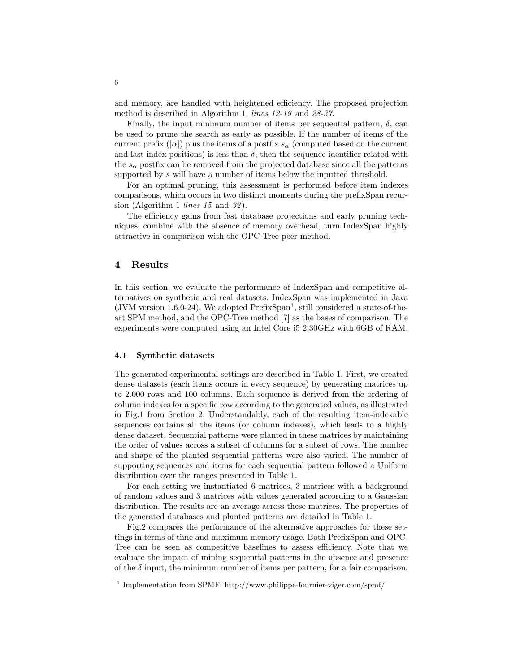and memory, are handled with heightened efficiency. The proposed projection method is described in Algorithm 1, lines 12-19 and 28-37.

Finally, the input minimum number of items per sequential pattern,  $\delta$ , can be used to prune the search as early as possible. If the number of items of the current prefix ( $|\alpha|$ ) plus the items of a postfix  $s_{\alpha}$  (computed based on the current and last index positions) is less than  $\delta$ , then the sequence identifier related with the  $s_{\alpha}$  postfix can be removed from the projected database since all the patterns supported by s will have a number of items below the inputted threshold.

For an optimal pruning, this assessment is performed before item indexes comparisons, which occurs in two distinct moments during the prefixSpan recursion (Algorithm 1 lines 15 and 32).

The efficiency gains from fast database projections and early pruning techniques, combine with the absence of memory overhead, turn IndexSpan highly attractive in comparison with the OPC-Tree peer method.

## 4 Results

In this section, we evaluate the performance of IndexSpan and competitive alternatives on synthetic and real datasets. IndexSpan was implemented in Java  $(JVM$  version 1.6.0-24). We adopted  $PrefixSpan<sup>1</sup>$ , still considered a state-of-theart SPM method, and the OPC-Tree method [7] as the bases of comparison. The experiments were computed using an Intel Core i5 2.30GHz with 6GB of RAM.

#### 4.1 Synthetic datasets

The generated experimental settings are described in Table 1. First, we created dense datasets (each items occurs in every sequence) by generating matrices up to 2.000 rows and 100 columns. Each sequence is derived from the ordering of column indexes for a specific row according to the generated values, as illustrated in Fig.1 from Section 2. Understandably, each of the resulting item-indexable sequences contains all the items (or column indexes), which leads to a highly dense dataset. Sequential patterns were planted in these matrices by maintaining the order of values across a subset of columns for a subset of rows. The number and shape of the planted sequential patterns were also varied. The number of supporting sequences and items for each sequential pattern followed a Uniform distribution over the ranges presented in Table 1.

For each setting we instantiated 6 matrices, 3 matrices with a background of random values and 3 matrices with values generated according to a Gaussian distribution. The results are an average across these matrices. The properties of the generated databases and planted patterns are detailed in Table 1.

Fig.2 compares the performance of the alternative approaches for these settings in terms of time and maximum memory usage. Both PrefixSpan and OPC-Tree can be seen as competitive baselines to assess efficiency. Note that we evaluate the impact of mining sequential patterns in the absence and presence of the  $\delta$  input, the minimum number of items per pattern, for a fair comparison.

<sup>&</sup>lt;sup>1</sup> Implementation from SPMF: http://www.philippe-fournier-viger.com/spmf/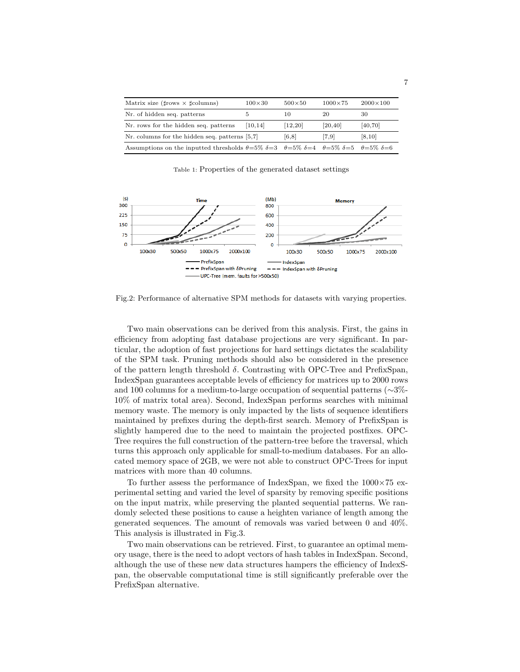| Matrix size (trows $\times$ toolumns)                                                                                                                  | $100\times30$ | $500\times50$ | $1000\times75$ | $2000\times100$ |
|--------------------------------------------------------------------------------------------------------------------------------------------------------|---------------|---------------|----------------|-----------------|
| Nr. of hidden seq. patterns                                                                                                                            |               | 10            | 20             | 30              |
| Nr. rows for the hidden seq. patterns                                                                                                                  | [10.14]       | [12.20]       | [20.40]        | [40, 70]        |
| Nr. columns for the hidden seq. patterns [5,7]                                                                                                         |               | [6,8]         | [7.9]          | [8, 10]         |
| Assumptions on the inputted thresholds $\theta = 5\%$ $\delta = 3$ $\theta = 5\%$ $\delta = 4$ $\theta = 5\%$ $\delta = 5$ $\theta = 5\%$ $\delta = 6$ |               |               |                |                 |

Table 1: Properties of the generated dataset settings



Fig.2: Performance of alternative SPM methods for datasets with varying properties.

Two main observations can be derived from this analysis. First, the gains in efficiency from adopting fast database projections are very significant. In particular, the adoption of fast projections for hard settings dictates the scalability of the SPM task. Pruning methods should also be considered in the presence of the pattern length threshold  $\delta$ . Contrasting with OPC-Tree and PrefixSpan, IndexSpan guarantees acceptable levels of efficiency for matrices up to 2000 rows and 100 columns for a medium-to-large occupation of sequential patterns (∼3%- 10% of matrix total area). Second, IndexSpan performs searches with minimal memory waste. The memory is only impacted by the lists of sequence identifiers maintained by prefixes during the depth-first search. Memory of PrefixSpan is slightly hampered due to the need to maintain the projected postfixes. OPC-Tree requires the full construction of the pattern-tree before the traversal, which turns this approach only applicable for small-to-medium databases. For an allocated memory space of 2GB, we were not able to construct OPC-Trees for input matrices with more than 40 columns.

To further assess the performance of IndexSpan, we fixed the  $1000\times75$  experimental setting and varied the level of sparsity by removing specific positions on the input matrix, while preserving the planted sequential patterns. We randomly selected these positions to cause a heighten variance of length among the generated sequences. The amount of removals was varied between 0 and 40%. This analysis is illustrated in Fig.3.

Two main observations can be retrieved. First, to guarantee an optimal memory usage, there is the need to adopt vectors of hash tables in IndexSpan. Second, although the use of these new data structures hampers the efficiency of IndexSpan, the observable computational time is still significantly preferable over the PrefixSpan alternative.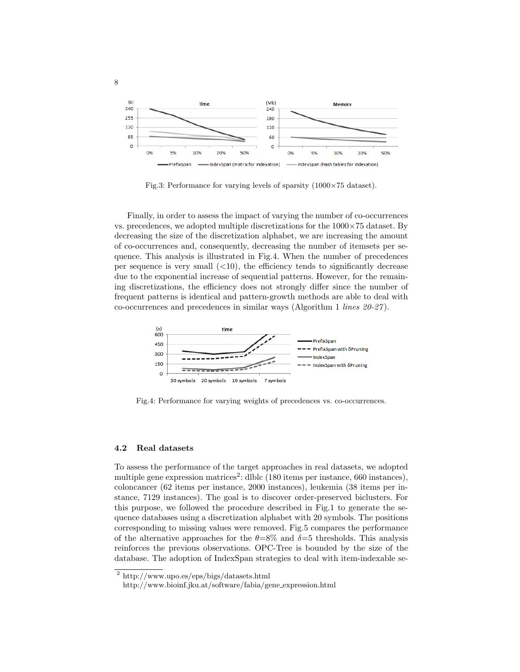

Fig.3: Performance for varying levels of sparsity (1000×75 dataset).

Finally, in order to assess the impact of varying the number of co-occurrences vs. precedences, we adopted multiple discretizations for the  $1000\times75$  dataset. By decreasing the size of the discretization alphabet, we are increasing the amount of co-occurrences and, consequently, decreasing the number of itemsets per sequence. This analysis is illustrated in Fig.4. When the number of precedences per sequence is very small  $(<10$ ), the efficiency tends to significantly decrease due to the exponential increase of sequential patterns. However, for the remaining discretizations, the efficiency does not strongly differ since the number of frequent patterns is identical and pattern-growth methods are able to deal with co-occurrences and precedences in similar ways (Algorithm 1 lines 20-27 ).



Fig.4: Performance for varying weights of precedences vs. co-occurrences.

#### 4.2 Real datasets

To assess the performance of the target approaches in real datasets, we adopted multiple gene expression matrices<sup>2</sup>: dlblc (180 items per instance, 660 instances), coloncancer (62 items per instance, 2000 instances), leukemia (38 items per instance, 7129 instances). The goal is to discover order-preserved biclusters. For this purpose, we followed the procedure described in Fig.1 to generate the sequence databases using a discretization alphabet with 20 symbols. The positions corresponding to missing values were removed. Fig.5 compares the performance of the alternative approaches for the  $\theta = 8\%$  and  $\delta = 5$  thresholds. This analysis reinforces the previous observations. OPC-Tree is bounded by the size of the database. The adoption of IndexSpan strategies to deal with item-indexable se-

8

 $\frac{2 \text{ http://www.upo.es/eps/bigs/datasets.html}}{2}$ 

http://www.bioinf.jku.at/software/fabia/gene expression.html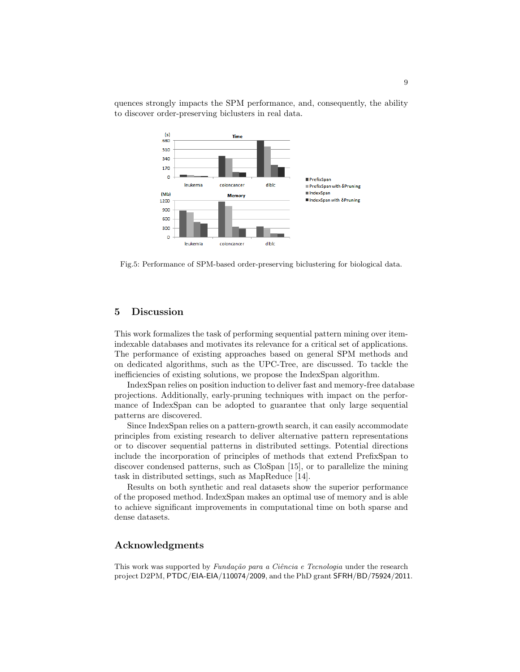quences strongly impacts the SPM performance, and, consequently, the ability to discover order-preserving biclusters in real data.



Fig.5: Performance of SPM-based order-preserving biclustering for biological data.

#### 5 Discussion

This work formalizes the task of performing sequential pattern mining over itemindexable databases and motivates its relevance for a critical set of applications. The performance of existing approaches based on general SPM methods and on dedicated algorithms, such as the UPC-Tree, are discussed. To tackle the inefficiencies of existing solutions, we propose the IndexSpan algorithm.

IndexSpan relies on position induction to deliver fast and memory-free database projections. Additionally, early-pruning techniques with impact on the performance of IndexSpan can be adopted to guarantee that only large sequential patterns are discovered.

Since IndexSpan relies on a pattern-growth search, it can easily accommodate principles from existing research to deliver alternative pattern representations or to discover sequential patterns in distributed settings. Potential directions include the incorporation of principles of methods that extend PrefixSpan to discover condensed patterns, such as CloSpan [15], or to parallelize the mining task in distributed settings, such as MapReduce [14].

Results on both synthetic and real datasets show the superior performance of the proposed method. IndexSpan makes an optimal use of memory and is able to achieve significant improvements in computational time on both sparse and dense datasets.

# Acknowledgments

This work was supported by Fundação para a Ciência e Tecnologia under the research project D2PM, PTDC/EIA-EIA/110074/2009, and the PhD grant SFRH/BD/75924/2011.